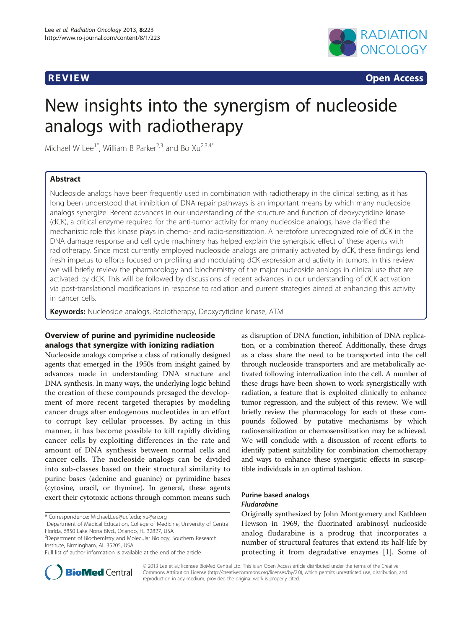

**REVIEW CONSTRUCTION CONSTRUCTION CONSTRUCTS** 

# New insights into the synergism of nucleoside analogs with radiotherapy

Michael W Lee<sup>1\*</sup>, William B Parker<sup>2,3</sup> and Bo  $Xu^{2,3,4*}$ 

# Abstract

Nucleoside analogs have been frequently used in combination with radiotherapy in the clinical setting, as it has long been understood that inhibition of DNA repair pathways is an important means by which many nucleoside analogs synergize. Recent advances in our understanding of the structure and function of deoxycytidine kinase (dCK), a critical enzyme required for the anti-tumor activity for many nucleoside analogs, have clarified the mechanistic role this kinase plays in chemo- and radio-sensitization. A heretofore unrecognized role of dCK in the DNA damage response and cell cycle machinery has helped explain the synergistic effect of these agents with radiotherapy. Since most currently employed nucleoside analogs are primarily activated by dCK, these findings lend fresh impetus to efforts focused on profiling and modulating dCK expression and activity in tumors. In this review we will briefly review the pharmacology and biochemistry of the major nucleoside analogs in clinical use that are activated by dCK. This will be followed by discussions of recent advances in our understanding of dCK activation via post-translational modifications in response to radiation and current strategies aimed at enhancing this activity in cancer cells.

Keywords: Nucleoside analogs, Radiotherapy, Deoxycytidine kinase, ATM

# Overview of purine and pyrimidine nucleoside analogs that synergize with ionizing radiation

Nucleoside analogs comprise a class of rationally designed agents that emerged in the 1950s from insight gained by advances made in understanding DNA structure and DNA synthesis. In many ways, the underlying logic behind the creation of these compounds presaged the development of more recent targeted therapies by modeling cancer drugs after endogenous nucleotides in an effort to corrupt key cellular processes. By acting in this manner, it has become possible to kill rapidly dividing cancer cells by exploiting differences in the rate and amount of DNA synthesis between normal cells and cancer cells. The nucleoside analogs can be divided into sub-classes based on their structural similarity to purine bases (adenine and guanine) or pyrimidine bases (cytosine, uracil, or thymine). In general, these agents exert their cytotoxic actions through common means such

\* Correspondence: [Michael.Lee@ucf.edu;](mailto:Michael.Lee@ucf.edu) [xu@sri.org](mailto:xu@sri.org) <sup>1</sup>

<sup>1</sup>Department of Medical Education, College of Medicine, University of Central Florida, 6850 Lake Nona Blvd., Orlando, FL 32827, USA

<sup>2</sup>Department of Biochemistry and Molecular Biology, Southern Research Institute, Birmingham, AL 35205, USA

Full list of author information is available at the end of the article

as disruption of DNA function, inhibition of DNA replication, or a combination thereof. Additionally, these drugs as a class share the need to be transported into the cell through nucleoside transporters and are metabolically activated following internalization into the cell. A number of these drugs have been shown to work synergistically with radiation, a feature that is exploited clinically to enhance tumor regression, and the subject of this review. We will briefly review the pharmacology for each of these compounds followed by putative mechanisms by which radiosensitization or chemosensitization may be achieved. We will conclude with a discussion of recent efforts to identify patient suitability for combination chemotherapy and ways to enhance these synergistic effects in susceptible individuals in an optimal fashion.

#### Purine based analogs Fludarabine

Originally synthesized by John Montgomery and Kathleen Hewson in 1969, the fluorinated arabinosyl nucleoside analog fludarabine is a prodrug that incorporates a number of structural features that extend its half-life by protecting it from degradative enzymes [\[1](#page-7-0)]. Some of



© 2013 Lee et al.; licensee BioMed Central Ltd. This is an Open Access article distributed under the terms of the Creative Commons Attribution License [\(http://creativecommons.org/licenses/by/2.0\)](http://creativecommons.org/licenses/by/2.0), which permits unrestricted use, distribution, and reproduction in any medium, provided the original work is properly cited.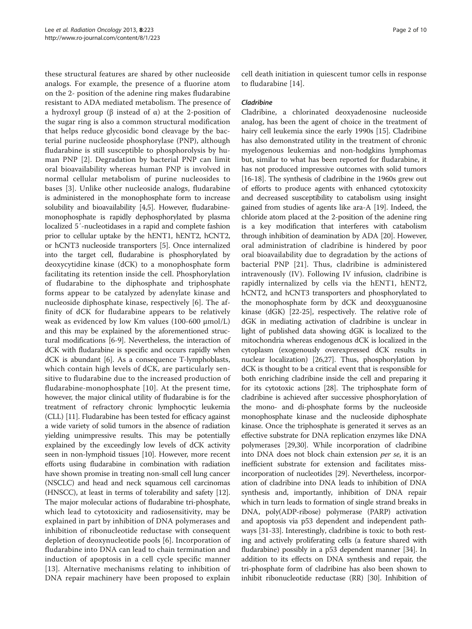these structural features are shared by other nucleoside analogs. For example, the presence of a fluorine atom on the 2- position of the adenine ring makes fludarabine resistant to ADA mediated metabolism. The presence of a hydroxyl group (β instead of α) at the 2-position of the sugar ring is also a common structural modification that helps reduce glycosidic bond cleavage by the bacterial purine nucleoside phosphorylase (PNP), although fludarabine is still susceptible to phosphorolysis by human PNP [[2\]](#page-7-0). Degradation by bacterial PNP can limit oral bioavailability whereas human PNP is involved in normal cellular metabolism of purine nucleosides to bases [[3\]](#page-7-0). Unlike other nucleoside analogs, fludarabine is administered in the monophosphate form to increase solubility and bioavailability [[4,5\]](#page-7-0). However, fludarabinemonophosphate is rapidly dephosphorylated by plasma localized 5′-nucleotidases in a rapid and complete fashion prior to cellular uptake by the hENT1, hENT2, hCNT2, or hCNT3 nucleoside transporters [[5](#page-7-0)]. Once internalized into the target cell, fludarabine is phosphorylated by deoxycytidine kinase (dCK) to a monophosphate form facilitating its retention inside the cell. Phosphorylation of fludarabine to the diphosphate and triphosphate forms appear to be catalyzed by adenylate kinase and nucleoside diphosphate kinase, respectively [[6\]](#page-7-0). The affinity of dCK for fludarabine appears to be relatively weak as evidenced by low Km values (100-600 μmol/L) and this may be explained by the aforementioned structural modifications [\[6-9](#page-7-0)]. Nevertheless, the interaction of dCK with fludarabine is specific and occurs rapidly when dCK is abundant [\[6\]](#page-7-0). As a consequence T-lymphoblasts, which contain high levels of dCK, are particularly sensitive to fludarabine due to the increased production of fludarabine-monophosphate [[10\]](#page-7-0). At the present time, however, the major clinical utility of fludarabine is for the treatment of refractory chronic lymphocytic leukemia (CLL) [[11\]](#page-7-0). Fludarabine has been tested for efficacy against a wide variety of solid tumors in the absence of radiation yielding unimpressive results. This may be potentially explained by the exceedingly low levels of dCK activity seen in non-lymphoid tissues [\[10\]](#page-7-0). However, more recent efforts using fludarabine in combination with radiation have shown promise in treating non-small cell lung cancer (NSCLC) and head and neck squamous cell carcinomas (HNSCC), at least in terms of tolerability and safety [[12](#page-7-0)]. The major molecular actions of fludarabine tri-phosphate, which lead to cytotoxicity and radiosensitivity, may be explained in part by inhibition of DNA polymerases and inhibition of ribonucleotide reductase with consequent depletion of deoxynucleotide pools [[6\]](#page-7-0). Incorporation of fludarabine into DNA can lead to chain termination and induction of apoptosis in a cell cycle specific manner [[13\]](#page-7-0). Alternative mechanisms relating to inhibition of DNA repair machinery have been proposed to explain

cell death initiation in quiescent tumor cells in response to fludarabine [[14\]](#page-7-0).

#### Cladribine

Cladribine, a chlorinated deoxyadenosine nucleoside analog, has been the agent of choice in the treatment of hairy cell leukemia since the early 1990s [[15\]](#page-7-0). Cladribine has also demonstrated utility in the treatment of chronic myelogenous leukemias and non-hodgkins lymphomas but, similar to what has been reported for fludarabine, it has not produced impressive outcomes with solid tumors [[16](#page-7-0)-[18\]](#page-7-0). The synthesis of cladribine in the 1960s grew out of efforts to produce agents with enhanced cytotoxicity and decreased susceptibility to catabolism using insight gained from studies of agents like ara-A [[19](#page-7-0)]. Indeed, the chloride atom placed at the 2-position of the adenine ring is a key modification that interferes with catabolism through inhibition of deamination by ADA [[20](#page-7-0)]. However, oral administration of cladribine is hindered by poor oral bioavailability due to degradation by the actions of bacterial PNP [[21](#page-7-0)]. Thus, cladribine is administered intravenously (IV). Following IV infusion, cladribine is rapidly internalized by cells via the hENT1, hENT2, hCNT2, and hCNT3 transporters and phosphorylated to the monophosphate form by dCK and deoxyguanosine kinase (dGK) [\[22-25\]](#page-7-0), respectively. The relative role of dGK in mediating activation of cladribine is unclear in light of published data showing dGK is localized to the mitochondria whereas endogenous dCK is localized in the cytoplasm (exogenously overexpressed dCK results in nuclear localization) [[26,27\]](#page-7-0). Thus, phosphorylation by dCK is thought to be a critical event that is responsible for both enriching cladribine inside the cell and preparing it for its cytotoxic actions [[28](#page-8-0)]. The triphosphate form of cladribine is achieved after successive phosphorylation of the mono- and di-phosphate forms by the nucleoside monophosphate kinase and the nucleoside diphosphate kinase. Once the triphosphate is generated it serves as an effective substrate for DNA replication enzymes like DNA polymerases [[29,30\]](#page-8-0). While incorporation of cladribine into DNA does not block chain extension per se, it is an inefficient substrate for extension and facilitates missincorporation of nucleotides [\[29\]](#page-8-0). Nevertheless, incorporation of cladribine into DNA leads to inhibition of DNA synthesis and, importantly, inhibition of DNA repair which in turn leads to formation of single strand breaks in DNA, poly(ADP-ribose) polymerase (PARP) activation and apoptosis via p53 dependent and independent pathways [[31](#page-8-0)-[33](#page-8-0)]. Interestingly, cladribine is toxic to both resting and actively proliferating cells (a feature shared with fludarabine) possibly in a p53 dependent manner [[34](#page-8-0)]. In addition to its effects on DNA synthesis and repair, the tri-phosphate form of cladribine has also been shown to inhibit ribonucleotide reductase (RR) [[30](#page-8-0)]. Inhibition of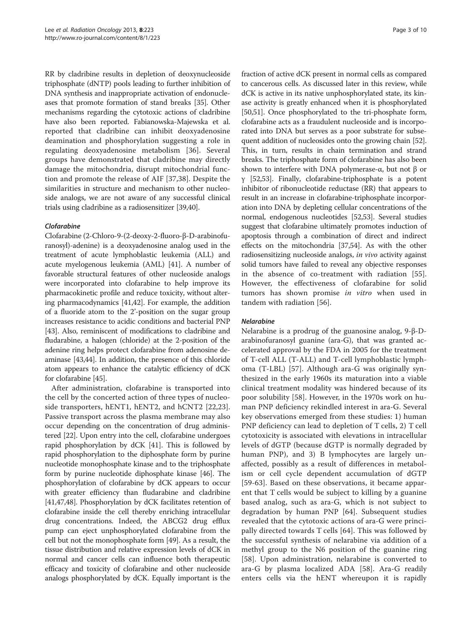RR by cladribine results in depletion of deoxynucleoside triphosphate (dNTP) pools leading to further inhibition of DNA synthesis and inappropriate activation of endonucleases that promote formation of stand breaks [\[35\]](#page-8-0). Other mechanisms regarding the cytotoxic actions of cladribine have also been reported. Fabianowska-Majewska et al. reported that cladribine can inhibit deoxyadenosine deamination and phosphorylation suggesting a role in regulating deoxyadenosine metabolism [[36\]](#page-8-0). Several groups have demonstrated that cladribine may directly damage the mitochondria, disrupt mitochondrial function and promote the release of AIF [[37,38\]](#page-8-0). Despite the similarities in structure and mechanism to other nucleoside analogs, we are not aware of any successful clinical trials using cladribine as a radiosensitizer [[39,40\]](#page-8-0).

## Clofarabine

Clofarabine (2-Chloro-9-(2-deoxy-2-fluoro-β-D-arabinofuranosyl)-adenine) is a deoxyadenosine analog used in the treatment of acute lymphoblastic leukemia (ALL) and acute myelogenous leukemia (AML) [\[41](#page-8-0)]. A number of favorable structural features of other nucleoside analogs were incorporated into clofarabine to help improve its pharmacokinetic profile and reduce toxicity, without altering pharmacodynamics [\[41,42\]](#page-8-0). For example, the addition of a fluoride atom to the 2'-position on the sugar group increases resistance to acidic conditions and bacterial PNP [[43](#page-8-0)]. Also, reminiscent of modifications to cladribine and fludarabine, a halogen (chloride) at the 2-position of the adenine ring helps protect clofarabine from adenosine deaminase [[43,44\]](#page-8-0). In addition, the presence of this chloride atom appears to enhance the catalytic efficiency of dCK for clofarabine [\[45\]](#page-8-0).

After administration, clofarabine is transported into the cell by the concerted action of three types of nucleoside transporters, hENT1, hENT2, and hCNT2 [[22,23](#page-7-0)]. Passive transport across the plasma membrane may also occur depending on the concentration of drug administered [\[22\]](#page-7-0). Upon entry into the cell, clofarabine undergoes rapid phosphorylation by dCK [[41](#page-8-0)]. This is followed by rapid phosphorylation to the diphosphate form by purine nucleotide monophosphate kinase and to the triphosphate form by purine nucleotide diphosphate kinase [[46](#page-8-0)]. The phosphorylation of clofarabine by dCK appears to occur with greater efficiency than fludarabine and cladribine [[41,47,48\]](#page-8-0). Phosphorylation by dCK facilitates retention of clofarabine inside the cell thereby enriching intracellular drug concentrations. Indeed, the ABCG2 drug efflux pump can eject unphosphorylated clofarabine from the cell but not the monophosphate form [[49](#page-8-0)]. As a result, the tissue distribution and relative expression levels of dCK in normal and cancer cells can influence both therapeutic efficacy and toxicity of clofarabine and other nucleoside analogs phosphorylated by dCK. Equally important is the fraction of active dCK present in normal cells as compared to cancerous cells. As discussed later in this review, while dCK is active in its native unphosphorylated state, its kinase activity is greatly enhanced when it is phosphorylated [[50,51](#page-8-0)]. Once phosphorylated to the tri-phosphate form, clofarabine acts as a fraudulent nucleoside and is incorporated into DNA but serves as a poor substrate for subsequent addition of nucleosides onto the growing chain [[52](#page-8-0)]. This, in turn, results in chain termination and strand breaks. The triphosphate form of clofarabine has also been shown to interfere with DNA polymerase-α, but not β or γ [[52,53](#page-8-0)]. Finally, clofarabine-triphosphate is a potent inhibitor of ribonucleotide reductase (RR) that appears to result in an increase in clofarabine-triphosphate incorporation into DNA by depleting cellular concentrations of the normal, endogenous nucleotides [\[52,53\]](#page-8-0). Several studies suggest that clofarabine ultimately promotes induction of apoptosis through a combination of direct and indirect effects on the mitochondria [\[37,54](#page-8-0)]. As with the other radiosensitizing nucleoside analogs, in vivo activity against solid tumors have failed to reveal any objective responses in the absence of co-treatment with radiation [[55](#page-8-0)]. However, the effectiveness of clofarabine for solid tumors has shown promise in vitro when used in tandem with radiation [[56\]](#page-8-0).

## Nelarabine

Nelarabine is a prodrug of the guanosine analog, 9-β-Darabinofuranosyl guanine (ara-G), that was granted accelerated approval by the FDA in 2005 for the treatment of T-cell ALL (T-ALL) and T-cell lymphoblastic lymphoma (T-LBL) [[57\]](#page-8-0). Although ara-G was originally synthesized in the early 1960s its maturation into a viable clinical treatment modality was hindered because of its poor solubility [[58\]](#page-8-0). However, in the 1970s work on human PNP deficiency rekindled interest in ara-G. Several key observations emerged from these studies: 1) human PNP deficiency can lead to depletion of T cells, 2) T cell cytotoxicity is associated with elevations in intracellular levels of dGTP (because dGTP is normally degraded by human PNP), and 3) B lymphocytes are largely unaffected, possibly as a result of differences in metabolism or cell cycle dependent accumulation of dGTP [[59](#page-8-0)-[63\]](#page-8-0). Based on these observations, it became apparent that T cells would be subject to killing by a guanine based analog, such as ara-G, which is not subject to degradation by human PNP [[64\]](#page-8-0). Subsequent studies revealed that the cytotoxic actions of ara-G were principally directed towards T cells [[64](#page-8-0)]. This was followed by the successful synthesis of nelarabine via addition of a methyl group to the N6 position of the guanine ring [[58](#page-8-0)]. Upon administration, nelarabine is converted to ara-G by plasma localized ADA [\[58](#page-8-0)]. Ara-G readily enters cells via the hENT whereupon it is rapidly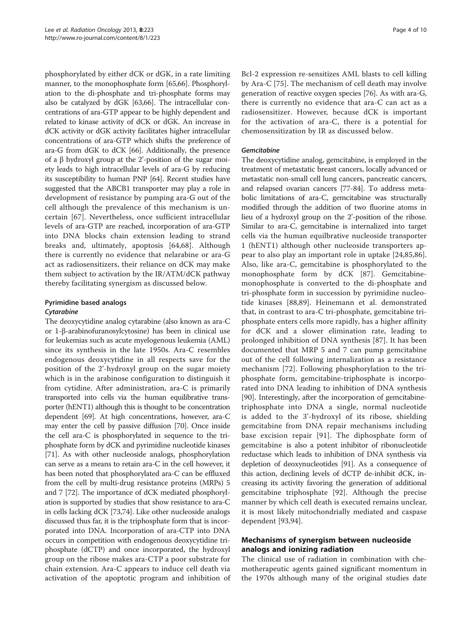phosphorylated by either dCK or dGK, in a rate limiting manner, to the monophosphate form [[65,66\]](#page-8-0). Phosphorylation to the di-phosphate and tri-phosphate forms may also be catalyzed by dGK [[63,66](#page-8-0)]. The intracellular concentrations of ara-GTP appear to be highly dependent and related to kinase activity of dCK or dGK. An increase in dCK activity or dGK activity facilitates higher intracellular concentrations of ara-GTP which shifts the preference of ara-G from dGK to dCK [[66\]](#page-8-0). Additionally, the presence of a β hydroxyl group at the 2'-position of the sugar moiety leads to high intracellular levels of ara-G by reducing its susceptibility to human PNP [\[64\]](#page-8-0). Recent studies have suggested that the ABCB1 transporter may play a role in development of resistance by pumping ara-G out of the cell although the prevalence of this mechanism is uncertain [[67](#page-8-0)]. Nevertheless, once sufficient intracellular levels of ara-GTP are reached, incorporation of ara-GTP into DNA blocks chain extension leading to strand breaks and, ultimately, apoptosis [\[64](#page-8-0),[68\]](#page-8-0). Although there is currently no evidence that nelarabine or ara-G act as radiosensitizers, their reliance on dCK may make them subject to activation by the IR/ATM/dCK pathway thereby facilitating synergism as discussed below.

# Pyrimidine based analogs

## **Cytarabine**

The deoxycytidine analog cytarabine (also known as ara-C or 1-β-arabinofuranosylcytosine) has been in clinical use for leukemias such as acute myelogenous leukemia (AML) since its synthesis in the late 1950s. Ara-C resembles endogenous deoxycytidine in all respects save for the position of the 2'-hydroxyl group on the sugar moiety which is in the arabinose configuration to distinguish it from cytidine. After administration, ara-C is primarily transported into cells via the human equilibrative transporter (hENT1) although this is thought to be concentration dependent [\[69](#page-8-0)]. At high concentrations, however, ara-C may enter the cell by passive diffusion [\[70\]](#page-8-0). Once inside the cell ara-C is phosphorylated in sequence to the triphosphate form by dCK and pyrimidine nucleotide kinases [[71](#page-8-0)]. As with other nucleoside analogs, phosphorylation can serve as a means to retain ara-C in the cell however, it has been noted that phosphorylated ara-C can be effluxed from the cell by multi-drug resistance proteins (MRPs) 5 and 7 [\[72](#page-8-0)]. The importance of dCK mediated phosphorylation is supported by studies that show resistance to ara-C in cells lacking dCK [[73,74\]](#page-8-0). Like other nucleoside analogs discussed thus far, it is the triphosphate form that is incorporated into DNA. Incorporation of ara-CTP into DNA occurs in competition with endogenous deoxycytidine triphosphate (dCTP) and once incorporated, the hydroxyl group on the ribose makes ara-CTP a poor substrate for chain extension. Ara-C appears to induce cell death via activation of the apoptotic program and inhibition of

Bcl-2 expression re-sensitizes AML blasts to cell killing by Ara-C [[75\]](#page-8-0). The mechanism of cell death may involve generation of reactive oxygen species [[76](#page-8-0)]. As with ara-G, there is currently no evidence that ara-C can act as a radiosensitizer. However, because dCK is important for the activation of ara-C, there is a potential for chemosensitization by IR as discussed below.

#### **Gemcitabine**

The deoxycytidine analog, gemcitabine, is employed in the treatment of metastatic breast cancers, locally advanced or metastatic non-small cell lung cancers, pancreatic cancers, and relapsed ovarian cancers [[77](#page-8-0)-[84](#page-9-0)]. To address metabolic limitations of ara-C, gemcitabine was structurally modified through the addition of two fluorine atoms in lieu of a hydroxyl group on the 2'-position of the ribose. Similar to ara-C, gemcitabine is internalized into target cells via the human equilbrative nucleoside transporter 1 (hENT1) although other nucleoside transporters appear to also play an important role in uptake [[24,](#page-7-0)[85,86](#page-9-0)]. Also, like ara-C, gemcitabine is phosphorylated to the monophosphate form by dCK [[87\]](#page-9-0). Gemcitabinemonophosphate is converted to the di-phosphate and tri-phosphate form in succession by pyrimidine nucleotide kinases [[88,89](#page-9-0)]. Heinemann et al. demonstrated that, in contrast to ara-C tri-phosphate, gemcitabine triphosphate enters cells more rapidly, has a higher affinity for dCK and a slower elimination rate, leading to prolonged inhibition of DNA synthesis [[87\]](#page-9-0). It has been documented that MRP 5 and 7 can pump gemcitabine out of the cell following internalization as a resistance mechanism [[72\]](#page-8-0). Following phosphorylation to the triphosphate form, gemcitabine-triphosphate is incorporated into DNA leading to inhibition of DNA synthesis [[90\]](#page-9-0). Interestingly, after the incorporation of gemcitabinetriphosphate into DNA a single, normal nucleotide is added to the 3'-hydroxyl of its ribose, shielding gemcitabine from DNA repair mechanisms including base excision repair [[91](#page-9-0)]. The diphosphate form of gemcitabine is also a potent inhibitor of ribonucleotide reductase which leads to inhibition of DNA synthesis via depletion of deoxynucleotides [[91](#page-9-0)]. As a consequence of this action, declining levels of dCTP de-inhibit dCK, increasing its activity favoring the generation of additional gemcitabine triphosphate [\[92](#page-9-0)]. Although the precise manner by which cell death is executed remains unclear, it is most likely mitochondrially mediated and caspase dependent [\[93](#page-9-0),[94\]](#page-9-0).

# Mechanisms of synergism between nucleoside analogs and ionizing radiation

The clinical use of radiation in combination with chemotherapeutic agents gained significant momentum in the 1970s although many of the original studies date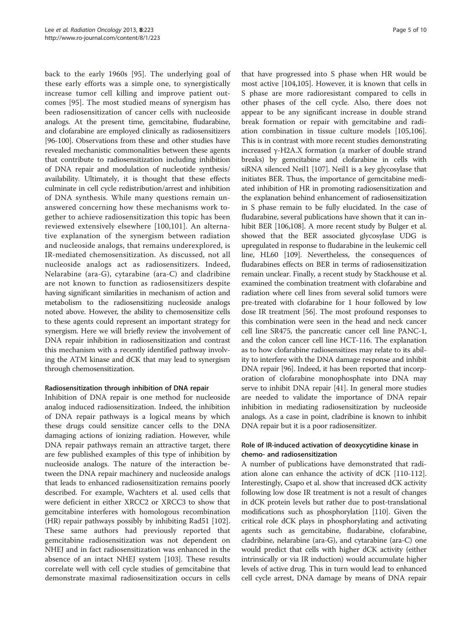back to the early 1960s [[95](#page-9-0)]. The underlying goal of these early efforts was a simple one, to synergistically increase tumor cell killing and improve patient outcomes [\[95](#page-9-0)]. The most studied means of synergism has been radiosensitization of cancer cells with nucleoside analogs. At the present time, gemcitabine, fludarabine, and clofarabine are employed clinically as radiosensitizers [[96](#page-9-0)-[100](#page-9-0)]. Observations from these and other studies have revealed mechanistic commonalities between these agents that contribute to radiosensitization including inhibition of DNA repair and modulation of nucleotide synthesis/ availability. Ultimately, it is thought that these effects culminate in cell cycle redistribution/arrest and inhibition of DNA synthesis. While many questions remain unanswered concerning how these mechanisms work together to achieve radiosensitization this topic has been reviewed extensively elsewhere [[100](#page-9-0),[101\]](#page-9-0). An alternative explanation of the synergism between radiation and nucleoside analogs, that remains underexplored, is IR-mediated chemosensitization. As discussed, not all nucleoside analogs act as radiosensitizers. Indeed, Nelarabine (ara-G), cytarabine (ara-C) and cladribine are not known to function as radiosensitizers despite having significant similarities in mechanism of action and metabolism to the radiosensitizing nucleoside analogs noted above. However, the ability to chemosensitize cells to these agents could represent an important strategy for synergism. Here we will briefly review the involvement of DNA repair inhibition in radiosensitization and contrast this mechanism with a recently identified pathway involving the ATM kinase and dCK that may lead to synergism through chemosensitization.

## Radiosensitization through inhibition of DNA repair

Inhibition of DNA repair is one method for nucleoside analog induced radiosensitization. Indeed, the inhibition of DNA repair pathways is a logical means by which these drugs could sensitize cancer cells to the DNA damaging actions of ionizing radiation. However, while DNA repair pathways remain an attractive target, there are few published examples of this type of inhibition by nucleoside analogs. The nature of the interaction between the DNA repair machinery and nucleoside analogs that leads to enhanced radiosensitization remains poorly described. For example, Wachters et al. used cells that were deficient in either XRCC2 or XRCC3 to show that gemcitabine interferes with homologous recombination (HR) repair pathways possibly by inhibiting Rad51 [\[102](#page-9-0)]. These same authors had previously reported that gemcitabine radiosensitization was not dependent on NHEJ and in fact radiosensitization was enhanced in the absence of an intact NHEJ system [[103](#page-9-0)]. These results correlate well with cell cycle studies of gemcitabine that demonstrate maximal radiosensitization occurs in cells

that have progressed into S phase when HR would be most active [\[104,105\]](#page-9-0). However, it is known that cells in S phase are more radioresistant compared to cells in other phases of the cell cycle. Also, there does not appear to be any significant increase in double strand break formation or repair with gemcitabine and radiation combination in tissue culture models [[105](#page-9-0),[106](#page-9-0)]. This is in contrast with more recent studies demonstrating increased γ-H2A.X formation (a marker of double strand breaks) by gemcitabine and clofarabine in cells with siRNA silenced Neil1 [[107](#page-9-0)]. Neil1 is a key glycosylase that initiates BER. Thus, the importance of gemcitabine mediated inhibition of HR in promoting radiosensitization and the explanation behind enhancement of radiosensitization in S phase remain to be fully elucidated. In the case of fludarabine, several publications have shown that it can inhibit BER [[106,108\]](#page-9-0). A more recent study by Bulger et al. showed that the BER associated glycosylase UDG is upregulated in response to fludarabine in the leukemic cell line, HL60 [\[109\]](#page-9-0). Nevertheless, the consequences of fludarabines effects on BER in terms of radiosensitization remain unclear. Finally, a recent study by Stackhouse et al. examined the combination treatment with clofarabine and radiation where cell lines from several solid tumors were pre-treated with clofarabine for 1 hour followed by low dose IR treatment [\[56\]](#page-8-0). The most profound responses to this combination were seen in the head and neck cancer cell line SR475, the pancreatic cancer cell line PANC-1, and the colon cancer cell line HCT-116. The explanation as to how clofarabine radiosensitizes may relate to its ability to interfere with the DNA damage response and inhibit DNA repair [\[96\]](#page-9-0). Indeed, it has been reported that incorporation of clofarabine monophosphate into DNA may serve to inhibit DNA repair [\[41\]](#page-8-0). In general more studies are needed to validate the importance of DNA repair inhibition in mediating radiosensitization by nucleoside analogs. As a case in point, cladribine is known to inhibit DNA repair but it is a poor radiosensitizer.

## Role of IR-induced activation of deoxycytidine kinase in chemo- and radiosensitization

A number of publications have demonstrated that radiation alone can enhance the activity of dCK [\[110-112](#page-9-0)]. Interestingly, Csapo et al. show that increased dCK activity following low dose IR treatment is not a result of changes in dCK protein levels but rather due to post-translational modifications such as phosphorylation [[110](#page-9-0)]. Given the critical role dCK plays in phosphorylating and activating agents such as gemcitabine, fludarabine, clofarabine, cladribine, nelarabine (ara-G), and cytarabine (ara-C) one would predict that cells with higher dCK activity (either intrinsically or via IR induction) would accumulate higher levels of active drug. This in turn would lead to enhanced cell cycle arrest, DNA damage by means of DNA repair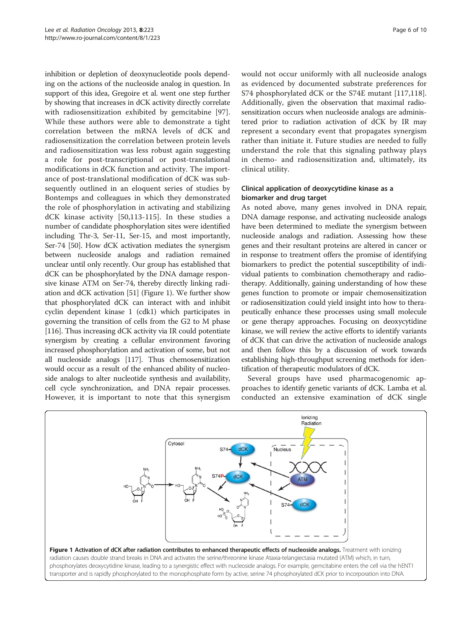inhibition or depletion of deoxynucleotide pools depending on the actions of the nucleoside analog in question. In support of this idea, Gregoire et al. went one step further by showing that increases in dCK activity directly correlate with radiosensitization exhibited by gemcitabine [\[97](#page-9-0)]. While these authors were able to demonstrate a tight correlation between the mRNA levels of dCK and radiosensitization the correlation between protein levels and radiosensitization was less robust again suggesting a role for post-transcriptional or post-translational modifications in dCK function and activity. The importance of post-translational modification of dCK was subsequently outlined in an eloquent series of studies by Bontemps and colleagues in which they demonstrated the role of phosphorylation in activating and stabilizing dCK kinase activity [[50](#page-8-0)[,113](#page-9-0)-[115](#page-9-0)]. In these studies a number of candidate phosphorylation sites were identified including Thr-3, Ser-11, Ser-15, and most importantly, Ser-74 [\[50\]](#page-8-0). How dCK activation mediates the synergism between nucleoside analogs and radiation remained unclear until only recently. Our group has established that dCK can be phosphorylated by the DNA damage responsive kinase ATM on Ser-74, thereby directly linking radiation and dCK activation [[51](#page-8-0)] (Figure 1). We further show that phosphorylated dCK can interact with and inhibit cyclin dependent kinase 1 (cdk1) which participates in governing the transition of cells from the G2 to M phase [[116](#page-9-0)]. Thus increasing dCK activity via IR could potentiate synergism by creating a cellular environment favoring increased phosphorylation and activation of some, but not all nucleoside analogs [[117](#page-9-0)]. Thus chemosensitization would occur as a result of the enhanced ability of nucleoside analogs to alter nucleotide synthesis and availability, cell cycle synchronization, and DNA repair processes. However, it is important to note that this synergism

would not occur uniformly with all nucleoside analogs as evidenced by documented substrate preferences for S74 phosphorylated dCK or the S74E mutant [[117,118](#page-9-0)]. Additionally, given the observation that maximal radiosensitization occurs when nucleoside analogs are administered prior to radiation activation of dCK by IR may represent a secondary event that propagates synergism rather than initiate it. Future studies are needed to fully understand the role that this signaling pathway plays in chemo- and radiosensitization and, ultimately, its clinical utility.

# Clinical application of deoxycytidine kinase as a biomarker and drug target

As noted above, many genes involved in DNA repair, DNA damage response, and activating nucleoside analogs have been determined to mediate the synergism between nucleoside analogs and radiation. Assessing how these genes and their resultant proteins are altered in cancer or in response to treatment offers the promise of identifying biomarkers to predict the potential susceptibility of individual patients to combination chemotherapy and radiotherapy. Additionally, gaining understanding of how these genes function to promote or impair chemosensitization or radiosensitization could yield insight into how to therapeutically enhance these processes using small molecule or gene therapy approaches. Focusing on deoxycytidine kinase, we will review the active efforts to identify variants of dCK that can drive the activation of nucleoside analogs and then follow this by a discussion of work towards establishing high-throughput screening methods for identification of therapeutic modulators of dCK.

Several groups have used pharmacogenomic approaches to identify genetic variants of dCK. Lamba et al. conducted an extensive examination of dCK single

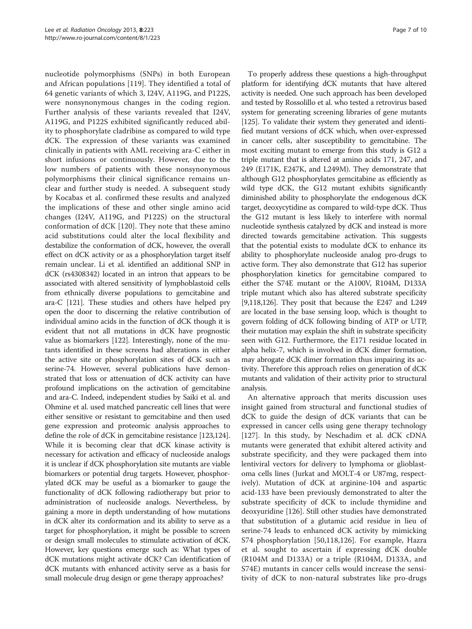nucleotide polymorphisms (SNPs) in both European and African populations [[119\]](#page-9-0). They identified a total of 64 genetic variants of which 3, I24V, A119G, and P122S, were nonsynonymous changes in the coding region. Further analysis of these variants revealed that I24V, A119G, and P122S exhibited significantly reduced ability to phosphorylate cladribine as compared to wild type dCK. The expression of these variants was examined clinically in patients with AML receiving ara-C either in short infusions or continuously. However, due to the low numbers of patients with these nonsynonymous polymorphisms their clinical significance remains unclear and further study is needed. A subsequent study by Kocabas et al. confirmed these results and analyzed the implications of these and other single amino acid changes (I24V, A119G, and P122S) on the structural conformation of dCK [[120](#page-9-0)]. They note that these amino acid substitutions could alter the local flexibility and destabilize the conformation of dCK, however, the overall effect on dCK activity or as a phosphorylation target itself remain unclear. Li et al. identified an additional SNP in dCK (rs4308342) located in an intron that appears to be associated with altered sensitivity of lymphoblastoid cells from ethnically diverse populations to gemcitabine and ara-C [\[121](#page-9-0)]. These studies and others have helped pry open the door to discerning the relative contribution of individual amino acids in the function of dCK though it is evident that not all mutations in dCK have prognostic value as biomarkers [\[122\]](#page-9-0). Interestingly, none of the mutants identified in these screens had alterations in either the active site or phosphorylation sites of dCK such as serine-74. However, several publications have demonstrated that loss or attenuation of dCK activity can have profound implications on the activation of gemcitabine and ara-C. Indeed, independent studies by Saiki et al. and Ohmine et al. used matched pancreatic cell lines that were either sensitive or resistant to gemcitabine and then used gene expression and proteomic analysis approaches to define the role of dCK in gemcitabine resistance [\[123,124](#page-9-0)]. While it is becoming clear that dCK kinase activity is necessary for activation and efficacy of nucleoside analogs it is unclear if dCK phosphorylation site mutants are viable biomarkers or potential drug targets. However, phosphorylated dCK may be useful as a biomarker to gauge the functionality of dCK following radiotherapy but prior to administration of nucleoside analogs. Nevertheless, by gaining a more in depth understanding of how mutations in dCK alter its conformation and its ability to serve as a target for phosphorylation, it might be possible to screen or design small molecules to stimulate activation of dCK. However, key questions emerge such as: What types of dCK mutations might activate dCK? Can identification of dCK mutants with enhanced activity serve as a basis for small molecule drug design or gene therapy approaches?

To properly address these questions a high-throughput platform for identifying dCK mutants that have altered activity is needed. One such approach has been developed and tested by Rossolillo et al. who tested a retrovirus based system for generating screening libraries of gene mutants [[125](#page-9-0)]. To validate their system they generated and identified mutant versions of dCK which, when over-expressed in cancer cells, alter susceptibility to gemcitabine. The most exciting mutant to emerge from this study is G12 a triple mutant that is altered at amino acids 171, 247, and 249 (E171K, E247K, and L249M). They demonstrate that although G12 phosphorylates gemcitabine as efficiently as wild type dCK, the G12 mutant exhibits significantly diminished ability to phosphorylate the endogenous dCK target, deoxycytidine as compared to wild-type dCK. Thus the G12 mutant is less likely to interfere with normal nucleotide synthesis catalyzed by dCK and instead is more directed towards gemcitabine activation. This suggests that the potential exists to modulate dCK to enhance its ability to phosphorylate nucleoside analog pro-drugs to active form. They also demonstrate that G12 has superior phosphorylation kinetics for gemcitabine compared to either the S74E mutant or the A100V, R104M, D133A triple mutant which also has altered substrate specificity [[9,](#page-7-0)[118,126\]](#page-9-0). They posit that because the E247 and L249 are located in the base sensing loop, which is thought to govern folding of dCK following binding of ATP or UTP, their mutation may explain the shift in substrate specificity seen with G12. Furthermore, the E171 residue located in alpha helix-7, which is involved in dCK dimer formation, may abrogate dCK dimer formation thus impairing its activity. Therefore this approach relies on generation of dCK mutants and validation of their activity prior to structural analysis.

An alternative approach that merits discussion uses insight gained from structural and functional studies of dCK to guide the design of dCK variants that can be expressed in cancer cells using gene therapy technology [[127\]](#page-9-0). In this study, by Neschadim et al. dCK cDNA mutants were generated that exhibit altered activity and substrate specificity, and they were packaged them into lentiviral vectors for delivery to lymphoma or glioblastoma cells lines (Jurkat and MOLT-4 or U87mg, respectively). Mutation of dCK at arginine-104 and aspartic acid-133 have been previously demonstrated to alter the substrate specificity of dCK to include thymidine and deoxyuridine [[126\]](#page-9-0). Still other studies have demonstrated that substitution of a glutamic acid residue in lieu of serine-74 leads to enhanced dCK activity by mimicking S74 phosphorylation [[50,](#page-8-0)[118,126](#page-9-0)]. For example, Hazra et al. sought to ascertain if expressing dCK double (R104M and D133A) or a triple (R104M, D133A, and S74E) mutants in cancer cells would increase the sensitivity of dCK to non-natural substrates like pro-drugs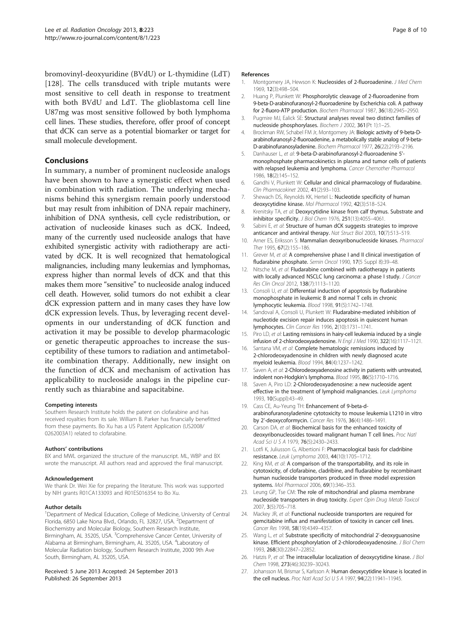<span id="page-7-0"></span>bromovinyl-deoxyuridine (BVdU) or L-thymidine (LdT) [[128](#page-9-0)]. The cells transduced with triple mutants were most sensitive to cell death in response to treatment with both BVdU and LdT. The glioblastoma cell line U87mg was most sensitive followed by both lymphoma cell lines. These studies, therefore, offer proof of concept that dCK can serve as a potential biomarker or target for small molecule development.

## Conclusions

In summary, a number of prominent nucleoside analogs have been shown to have a synergistic effect when used in combination with radiation. The underlying mechanisms behind this synergism remain poorly understood but may result from inhibition of DNA repair machinery, inhibition of DNA synthesis, cell cycle redistribution, or activation of nucleoside kinases such as dCK. Indeed, many of the currently used nucleoside analogs that have exhibited synergistic activity with radiotherapy are activated by dCK. It is well recognized that hematological malignancies, including many leukemias and lymphomas, express higher than normal levels of dCK and that this makes them more "sensitive" to nucleoside analog induced cell death. However, solid tumors do not exhibit a clear dCK expression pattern and in many cases they have low dCK expression levels. Thus, by leveraging recent developments in our understanding of dCK function and activation it may be possible to develop pharmacologic or genetic therapeutic approaches to increase the susceptibility of these tumors to radiation and antimetabolite combination therapy. Additionally, new insight on the function of dCK and mechanism of activation has applicability to nucleoside analogs in the pipeline currently such as thiarabine and sapacitabine.

#### Competing interests

Southern Research Institute holds the patent on clofarabine and has received royalties from its sale. William B. Parker has financially benefitted from these payments. Bo Xu has a US Patent Application (US2008/ 0262003A1) related to clofarabine.

#### Authors' contributions

BX and MWL organized the structure of the manuscript. ML, WBP and BX wrote the manuscript. All authors read and approved the final manuscript.

#### Acknowledgement

We thank Dr. Wei Xie for preparing the literature. This work was supported by NIH grants R01CA133093 and R01ES016354 to Bo Xu.

#### Author details

<sup>1</sup>Department of Medical Education, College of Medicine, University of Central Florida, 6850 Lake Nona Blvd., Orlando, FL 32827, USA. <sup>2</sup>Department of Biochemistry and Molecular Biology, Southern Research Institute, Birmingham, AL 35205, USA. <sup>3</sup>Comprehensive Cancer Center, University of Alabama at Birmingham, Birmingham, AL 35205, USA. <sup>4</sup>Laboratory of Molecular Radiation biology, Southern Research Institute, 2000 9th Ave South, Birmingham, AL 35205, USA.

#### Received: 5 June 2013 Accepted: 24 September 2013 Published: 26 September 2013

#### References

- 1. Montgomery JA, Hewson K: Nucleosides of 2-fluoroadenine. J Med Chem 1969, 12(3):498–504.
- 2. Huang P, Plunkett W: Phosphorolytic cleavage of 2-fluoroadenine from 9-beta-D-arabinofuranosyl-2-fluoroadenine by Escherichia coli. A pathway for 2-fluoro-ATP production. Biochem Pharmacol 1987, 36(18):2945–2950.
- 3. Pugmire MJ, Ealick SE: Structural analyses reveal two distinct families of nucleoside phosphorylases. Biochem J 2002, 361(Pt 1):1–25.
- 4. Brockman RW, Schabel FM Jr, Montgomery JA: Biologic activity of 9-beta-Darabinofuranosyl-2-fluoroadenine, a metabolically stable analog of 9-beta-D-arabinofuranosyladenine. Biochem Pharmacol 1977, 26(22):2193–2196.
- 5. Danhauser L, et al: 9-beta-D-arabinofuranosyl-2-fluoroadenine 5' monophosphate pharmacokinetics in plasma and tumor cells of patients with relapsed leukemia and lymphoma. Cancer Chemother Pharmacol 1986, 18(2):145–152.
- 6. Gandhi V, Plunkett W: Cellular and clinical pharmacology of fludarabine. Clin Pharmacokinet 2002, 41(2):93–103.
- 7. Shewach DS, Reynolds KK, Hertel L: Nucleotide specificity of human deoxycytidine kinase. Mol Pharmacol 1992, 42(3):518–524.
- 8. Krenitsky TA, et al: Deoxycytidine kinase from calf thymus. Substrate and inhibitor specificity. J Biol Chem 1976, 251(13):4055–4061.
- 9. Sabini E, et al: Structure of human dCK suggests strategies to improve anticancer and antiviral therapy. Nat Struct Biol 2003, 10(7):513–519.
- 10. Arner ES, Eriksson S: Mammalian deoxyribonucleoside kinases. Pharmacol Ther 1995, 67(2):155–186.
- 11. Grever M, et al: A comprehensive phase I and II clinical investigation of fludarabine phosphate. Semin Oncol 1990, 17(5 Suppl 8):39-48.
- 12. Nitsche M, et al: Fludarabine combined with radiotherapy in patients with locally advanced NSCLC lung carcinoma: a phase I study. J Cancer Res Clin Oncol 2012, 138(7):1113–1120.
- 13. Consoli U, et al: Differential induction of apoptosis by fludarabine monophosphate in leukemic B and normal T cells in chronic lymphocytic leukemia. Blood 1998, 91(5):1742–1748.
- 14. Sandoval A, Consoli U, Plunkett W: Fludarabine-mediated inhibition of nucleotide excision repair induces apoptosis in quiescent human lymphocytes. Clin Cancer Res 1996, 2(10):1731–1741.
- 15. Piro LD, et al: Lasting remissions in hairy-cell leukemia induced by a single infusion of 2-chlorodeoxyadenosine. N Engl J Med 1990, 322(16):1117–1121.
- 16. Santana VM, et al: Complete hematologic remissions induced by 2-chlorodeoxyadenosine in children with newly diagnosed acute myeloid leukemia. Blood 1994, 84(4):1237–1242.
- 17. Saven A, et al: 2-Chlorodeoxyadenosine activity in patients with untreated, indolent non-Hodgkin's lymphoma. Blood 1995, 86(5):1710–1716.
- 18. Saven A, Piro LD: 2-Chlorodeoxyadenosine: a new nucleoside agent effective in the treatment of lymphoid malignancies. Leuk Lymphoma 1993, 10(Suppl):43–49.
- 19. Cass CE, Au-Yeung TH: Enhancement of 9-beta-darabinofuranosyladenine cytotoxicity to mouse leukemia L1210 in vitro by 2'-deoxycoformycin. Cancer Res 1976, 36(4):1486–1491.
- 20. Carson DA, et al: Biochemical basis for the enhanced toxicity of deoxyribonucleosides toward malignant human T cell lines. Proc Natl Acad Sci U S A 1979, 76(5):2430–2433.
- 21. Lotfi K, Juliusson G, Albertioni F: Pharmacological basis for cladribine resistance. Leuk Lymphoma 2003, 44(10):1705–1712.
- 22. King KM, et al: A comparison of the transportability, and its role in cytotoxicity, of clofarabine, cladribine, and fludarabine by recombinant human nucleoside transporters produced in three model expression systems. Mol Pharmacol 2006, 69(1):346–353.
- 23. Leung GP, Tse CM: The role of mitochondrial and plasma membrane nucleoside transporters in drug toxicity. Expert Opin Drug Metab Toxicol 2007, 3(5):705–718.
- 24. Mackey JR, et al: Functional nucleoside transporters are required for gemcitabine influx and manifestation of toxicity in cancer cell lines. Cancer Res 1998, 58(19):4349-4357.
- 25. Wang L, et al: Substrate specificity of mitochondrial 2'-deoxyguanosine kinase. Efficient phosphorylation of 2-chlorodeoxyadenosine. J Biol Chem 1993, 268(30):22847–22852.
- 26. Hatzis P, et al: The intracellular localization of deoxycytidine kinase. J Biol Chem 1998, 273(46):30239–30243.
- 27. Johansson M, Brismar S, Karlsson A: Human deoxycytidine kinase is located in the cell nucleus. Proc Natl Acad Sci U S A 1997, 94(22):11941-11945.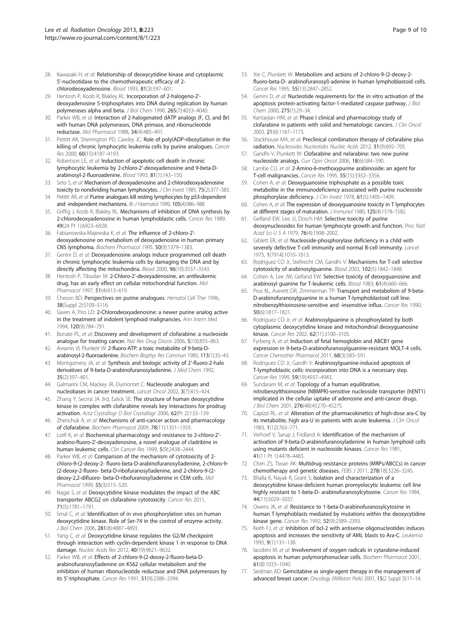- <span id="page-8-0"></span>28. Kawasaki H, et al: Relationship of deoxycytidine kinase and cytoplasmic 5'-nucleotidase to the chemotherapeutic efficacy of 2 chlorodeoxyadenosine. Blood 1993, 81(3):597–601.
- 29. Hentosh P, Koob R, Blakley RL: Incorporation of 2-halogeno-2' deoxyadenosine 5-triphosphates into DNA during replication by human polymerases alpha and beta. J Biol Chem 1990, 265(7):4033–4040.
- 30. Parker WB, et al: Interaction of 2-halogenated dATP analogs (F, CI, and Br) with human DNA polymerases, DNA primase, and ribonucleotide reductase. Mol Pharmacol 1988, 34(4):485–491.
- 31. Pettitt AR, Sherrington PD, Cawley JC: Role of poly(ADP-ribosyl)ation in the killing of chronic lymphocytic leukemia cells by purine analogues. Cancer Res 2000, 60(15):4187–4193.
- 32. Robertson LE, et al: Induction of apoptotic cell death in chronic lymphocytic leukemia by 2-chloro-2'-deoxyadenosine and 9-beta-Darabinosyl-2-fluoroadenine. Blood 1993, 81(1):143–150.
- 33. Seto S, et al: Mechanism of deoxyadenosine and 2-chlorodeoxyadenosine toxicity to nondividing human lymphocytes. J Clin Invest 1985, 75(2):377-383.
- 34. Pettitt AR, et al: Purine analogues kill resting lymphocytes by p53-dependent and -independent mechanisms. Br J Haematol 1999, 105(4):986–988.
- 35. Griffig J, Koob R, Blakley RL: Mechanisms of inhibition of DNA synthesis by 2-chlorodeoxyadenosine in human lymphoblastic cells. Cancer Res 1989, 49(24 Pt 1):6923–6928.
- 36. Fabianowska-Majewska K, et al: The influence of 2-chloro-2' deoxyadenosine on metabolism of deoxyadenosine in human primary CNS lymphoma. Biochem Pharmacol 1995, 50(9):1379–1383.
- 37. Genini D, et al: Deoxyadenosine analogs induce programmed cell death in chronic lymphocytic leukemia cells by damaging the DNA and by directly affecting the mitochondria. Blood 2000, 96(10):3537–3543.
- 38. Hentosh P, Tibudan M: 2-Chloro-2'-deoxyadenosine, an antileukemic drug, has an early effect on cellular mitochondrial function. Mol Pharmacol 1997, 51(4):613–619.
- 39. Cheson BD: Perspectives on purine analogues. Hematol Cell Ther 1996, 38(Suppl 2):S109–S116.
- 40. Saven A, Piro LD: 2-Chlorodeoxyadenosine: a newer purine analog active in the treatment of indolent lymphoid malignancies. Ann Intern Med 1994, 120(9):784–791.
- 41. Bonate PL, et al: Discovery and development of clofarabine: a nucleoside analogue for treating cancer. Nat Rev Drug Discov 2006, 5(10):855-863.
- 42. Avramis VI, Plunkett W: 2-fluoro-ATP: a toxic metabolite of 9-beta-Darabinosyl-2-fluoroadenine. Biochem Biophys Res Commun 1983, 113(1):35–43.
- 43. Montgomery JA, et al: Synthesis and biologic activity of 2'-fluoro-2-halo derivatives of 9-beta-D-arabinofuranosyladenine. J Med Chem 1992, 35(2):397–401.
- 44. Galmarini CM, Mackey JR, Dumontet C: Nucleoside analogues and nucleobases in cancer treatment. Lancet Oncol 2002, 3(7):415–424.
- 45. Zhang Y, Secrist JA 3rd, Ealick SE: The structure of human deoxycytidine kinase in complex with clofarabine reveals key interactions for prodrug activation. Acta Crystallogr D Biol Crystallogr 2006, 62(Pt 2):133–139.
- 46. Zhenchuk A, et al: Mechanisms of anti-cancer action and pharmacology of clofarabine. Biochem Pharmacol 2009, 78(11):1351–1359.
- 47. Lotfi K, et al: Biochemical pharmacology and resistance to 2-chloro-2'arabino-fluoro-2'-deoxyadenosine, a novel analogue of cladribine in human leukemic cells. Clin Cancer Res 1999, 5(9):2438–2444.
- 48. Parker WB, et al: Comparison of the mechanism of cytotoxicity of 2chloro-9-(2-deoxy-2- fluoro-beta-D-arabinofuranosyl)adenine, 2-chloro-9- (2-deoxy-2-fluoro- beta-D-ribofuranosyl)adenine, and 2-chloro-9-(2 deoxy-2,2-difluoro- beta-D-ribofuranosyl)adenine in CEM cells. Mol Pharmacol 1999, 55(3):515–520.
- 49. Nagai S, et al: Deoxycytidine kinase modulates the impact of the ABC transporter ABCG2 on clofarabine cytotoxicity. Cancer Res 2011, 71(5):1781–1791.
- 50. Smal C, et al: Identification of in vivo phosphorylation sites on human deoxycytidine kinase. Role of Ser-74 in the control of enzyme activity. J Biol Chem 2006, 281(8):4887–4893.
- 51. Yang C, et al: Deoxycytidine kinase regulates the G2/M checkpoint through interaction with cyclin-dependent kinase 1 in response to DNA damage. Nucleic Acids Res 2012, 40(19):9621–9632.
- 52. Parker WB, et al: Effects of 2-chloro-9-(2-deoxy-2-fluoro-beta-Darabinofuranosyl)adenine on K562 cellular metabolism and the inhibition of human ribonucleotide reductase and DNA polymerases by its 5'-triphosphate. Cancer Res 1991, 51(9):2386–2394.
- 53. Xie C, Plunkett W: Metabolism and actions of 2-chloro-9-(2-deoxy-2 fluoro-beta-D- arabinofuranosyl)-adenine in human lymphoblastoid cells. Cancer Res 1995, 55(13):2847–2852.
- 54. Genini D, et al: Nucleotide requirements for the in vitro activation of the apoptosis protein-activating factor-1-mediated caspase pathway. J Biol Chem 2000, 275(1):29–34.
- 55. Kantarjian HM, et al: Phase I clinical and pharmacology study of clofarabine in patients with solid and hematologic cancers. J Clin Oncol 2003, 21(6):1167–1173.
- 56. Stackhouse MA, et al: Preclinical combination therapy of clofarabine plus radiation. Nucleosides Nucleotides Nucleic Acids 2012, 31(9):692–705.
- 57. Gandhi V, Plunkett W: Clofarabine and nelarabine: two new purine nucleoside analogs. Curr Opin Oncol 2006, 18(6):584–590.
- 58. Lambe CU, et al: 2-Amino-6-methoxypurine arabinoside: an agent for T-cell malignancies. Cancer Res 1995, 55(15):3352-3356.
- 59. Cohen A, et al: Deoxyguanosine triphosphate as a possible toxic metabolite in the immunodeficiency associated with purine nucleoside phosphorylase deficiency. J Clin Invest 1978, 61(5):1405-1409
- 60. Cohen A, et al: The expression of deoxyguanosine toxicity in T lymphocytes at different stages of maturation. J Immunol 1980, 125(4):1578–1582.
- 61. Gelfand EW, Lee JJ, Dosch HM: Selective toxicity of purine deoxynucleosides for human lymphocyte growth and function. Proc Natl Acad Sci U S A 1979, 76(4):1998-2002.
- 62. Giblett ER, et al: Nucleoside-phosphorylase deficiency in a child with severely defective T-cell immunity and normal B-cell immunity. Lancet 1975, 1(7914):1010–1013.
- 63. Rodriguez CO Jr, Stellrecht CM, Gandhi V: Mechanisms for T-cell selective cytotoxicity of arabinosylguanine. Blood 2003, 102(5):1842–1848.
- Cohen A, Lee JW, Gelfand EW: Selective toxicity of deoxyguanosine and arabinosyl guanine for T-leukemic cells. Blood 1983, 61(4):660–666.
- 65. Prus KL, Averett DR, Zimmerman TP: Transport and metabolism of 9-beta-D-arabinofuranosylguanine in a human T-lymphoblastoid cell line: nitrobenzylthioinosine-sensitive and -insensitive influx. Cancer Res 1990, 50(6):1817–1821.
- 66. Rodriguez CO Jr, et al: Arabinosylguanine is phosphorylated by both cytoplasmic deoxycytidine kinase and mitochondrial deoxyguanosine kinase. Cancer Res 2002, 62(11):3100–3105.
- 67. Fyrberg A, et al: Induction of fetal hemoglobin and ABCB1 gene expression in 9-beta-D-arabinofuranosylguanine-resistant MOLT-4 cells. Cancer Chemother Pharmacol 2011, 68(3):583–591.
- 68. Rodriguez CO Jr, Gandh V: Arabinosylguanine-induced apoptosis of T-lymphoblastic cells: incorporation into DNA is a necessary step. Cancer Res 1999, 59(19):4937-4943.
- 69. Sundaram M, et al: Topology of a human equilibrative, nitrobenzylthioinosine (NBMPR)-sensitive nucleoside transporter (hENT1) implicated in the cellular uptake of adenosine and anti-cancer drugs. J Biol Chem 2001, 276(48):45270–45275.
- 70. Capizzi RL, et al: Alteration of the pharmacokinetics of high-dose ara-C by its metabolite, high ara-U in patients with acute leukemia. J Clin Oncol 1983, 1(12):763–771.
- 71. Verhoef V, Sarup J, Fridland A: Identification of the mechanism of activation of 9-beta-D-arabinofuranosyladenine in human lymphoid cells using mutants deficient in nucleoside kinases. Cancer Res 1981, 41(11 Pt 1):4478–4483.
- 72. Chen ZS, Tiwari AK: Multidrug resistance proteins (MRPs/ABCCs) in cancer chemotherapy and genetic diseases. FEBS J 2011, 278(18):3226–3245.
- 73. Bhalla K, Nayak R, Grant S: Isolation and characterization of a deoxycytidine kinase-deficient human promyelocytic leukemic cell line highly resistant to 1-beta-D- arabinofuranosylcytosine. Cancer Res 1984, 44(11):5029–5037.
- 74. Owens JK, et al: Resistance to 1-beta-D-arabinofuranosylcytosine in human T-lymphoblasts mediated by mutations within the deoxycytidine kinase gene. Cancer Res 1992, 52(9):2389–2393.
- 75. Keith FJ, et al: Inhibition of bcl-2 with antisense oligonucleotides induces apoptosis and increases the sensitivity of AML blasts to Ara-C. Leukemia 1995, 9(1):131–138.
- 76. Iacobini M, et al: Involvement of oxygen radicals in cytarabine-induced apoptosis in human polymorphonuclear cells. Biochem Pharmacol 2001, 61(8):1033–1040.
- 77. Seidman AD: Gemcitabine as single-agent therapy in the management of advanced breast cancer. Oncology (Williston Park) 2001, 15(2 Suppl 3):11-14.